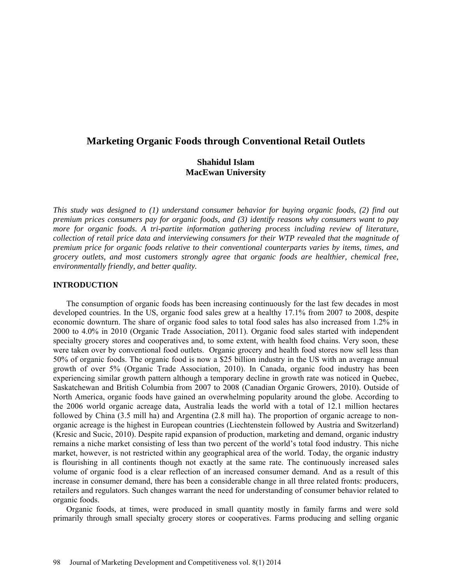# **Marketing Organic Foods through Conventional Retail Outlets**

# **Shahidul Islam MacEwan University**

*This study was designed to (1) understand consumer behavior for buying organic foods, (2) find out premium prices consumers pay for organic foods, and (3) identify reasons why consumers want to pay more for organic foods. A tri-partite information gathering process including review of literature, collection of retail price data and interviewing consumers for their WTP revealed that the magnitude of premium price for organic foods relative to their conventional counterparts varies by items, times, and grocery outlets, and most customers strongly agree that organic foods are healthier, chemical free, environmentally friendly, and better quality.*

#### **INTRODUCTION**

The consumption of organic foods has been increasing continuously for the last few decades in most developed countries. In the US, organic food sales grew at a healthy 17.1% from 2007 to 2008, despite economic downturn. The share of organic food sales to total food sales has also increased from 1.2% in 2000 to 4.0% in 2010 (Organic Trade Association, 2011). Organic food sales started with independent specialty grocery stores and cooperatives and, to some extent, with health food chains. Very soon, these were taken over by conventional food outlets. Organic grocery and health food stores now sell less than 50% of organic foods. The organic food is now a \$25 billion industry in the US with an average annual growth of over 5% (Organic Trade Association, 2010). In Canada, organic food industry has been experiencing similar growth pattern although a temporary decline in growth rate was noticed in Quebec, Saskatchewan and British Columbia from 2007 to 2008 (Canadian Organic Growers, 2010). Outside of North America, organic foods have gained an overwhelming popularity around the globe. According to the 2006 world organic acreage data, Australia leads the world with a total of 12.1 million hectares followed by China (3.5 mill ha) and Argentina (2.8 mill ha). The proportion of organic acreage to nonorganic acreage is the highest in European countries (Liechtenstein followed by Austria and Switzerland) (Kresic and Sucic, 2010). Despite rapid expansion of production, marketing and demand, organic industry remains a niche market consisting of less than two percent of the world's total food industry. This niche market, however, is not restricted within any geographical area of the world. Today, the organic industry is flourishing in all continents though not exactly at the same rate. The continuously increased sales volume of organic food is a clear reflection of an increased consumer demand. And as a result of this increase in consumer demand, there has been a considerable change in all three related fronts: producers, retailers and regulators. Such changes warrant the need for understanding of consumer behavior related to organic foods.

Organic foods, at times, were produced in small quantity mostly in family farms and were sold primarily through small specialty grocery stores or cooperatives. Farms producing and selling organic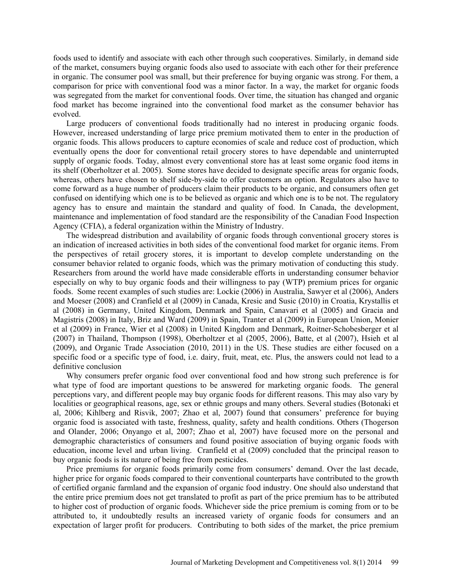foods used to identify and associate with each other through such cooperatives. Similarly, in demand side of the market, consumers buying organic foods also used to associate with each other for their preference in organic. The consumer pool was small, but their preference for buying organic was strong. For them, a comparison for price with conventional food was a minor factor. In a way, the market for organic foods was segregated from the market for conventional foods. Over time, the situation has changed and organic food market has become ingrained into the conventional food market as the consumer behavior has evolved.

Large producers of conventional foods traditionally had no interest in producing organic foods. However, increased understanding of large price premium motivated them to enter in the production of organic foods. This allows producers to capture economies of scale and reduce cost of production, which eventually opens the door for conventional retail grocery stores to have dependable and uninterrupted supply of organic foods. Today, almost every conventional store has at least some organic food items in its shelf (Oberholtzer et al. 2005). Some stores have decided to designate specific areas for organic foods, whereas, others have chosen to shelf side-by-side to offer customers an option. Regulators also have to come forward as a huge number of producers claim their products to be organic, and consumers often get confused on identifying which one is to be believed as organic and which one is to be not. The regulatory agency has to ensure and maintain the standard and quality of food. In Canada, the development, maintenance and implementation of food standard are the responsibility of the Canadian Food Inspection Agency (CFIA), a federal organization within the Ministry of Industry.

The widespread distribution and availability of organic foods through conventional grocery stores is an indication of increased activities in both sides of the conventional food market for organic items. From the perspectives of retail grocery stores, it is important to develop complete understanding on the consumer behavior related to organic foods, which was the primary motivation of conducting this study. Researchers from around the world have made considerable efforts in understanding consumer behavior especially on why to buy organic foods and their willingness to pay (WTP) premium prices for organic foods. Some recent examples of such studies are: Lockie (2006) in Australia, Sawyer et al (2006), Anders and Moeser (2008) and Cranfield et al (2009) in Canada, Kresic and Susic (2010) in Croatia, Krystallis et al (2008) in Germany, United Kingdom, Denmark and Spain, Canavari et al (2005) and Gracia and Magistris (2008) in Italy, Briz and Ward (2009) in Spain, Tranter et al (2009) in European Union, Monier et al (2009) in France, Wier et al (2008) in United Kingdom and Denmark, Roitner-Schobesberger et al (2007) in Thailand, Thompson (1998), Oberholtzer et al (2005, 2006), Batte, et al (2007), Hsieh et al (2009), and Organic Trade Association (2010, 2011) in the US. These studies are either focused on a specific food or a specific type of food, i.e. dairy, fruit, meat, etc. Plus, the answers could not lead to a definitive conclusion

Why consumers prefer organic food over conventional food and how strong such preference is for what type of food are important questions to be answered for marketing organic foods. The general perceptions vary, and different people may buy organic foods for different reasons. This may also vary by localities or geographical reasons, age, sex or ethnic groups and many others. Several studies (Botonaki et al, 2006; Kihlberg and Risvik, 2007; Zhao et al, 2007) found that consumers' preference for buying organic food is associated with taste, freshness, quality, safety and health conditions. Others (Thogerson and Olander, 2006; Onyango et al, 2007; Zhao et al, 2007) have focused more on the personal and demographic characteristics of consumers and found positive association of buying organic foods with education, income level and urban living. Cranfield et al (2009) concluded that the principal reason to buy organic foods is its nature of being free from pesticides.

Price premiums for organic foods primarily come from consumers' demand. Over the last decade, higher price for organic foods compared to their conventional counterparts have contributed to the growth of certified organic farmland and the expansion of organic food industry. One should also understand that the entire price premium does not get translated to profit as part of the price premium has to be attributed to higher cost of production of organic foods. Whichever side the price premium is coming from or to be attributed to, it undoubtedly results an increased variety of organic foods for consumers and an expectation of larger profit for producers. Contributing to both sides of the market, the price premium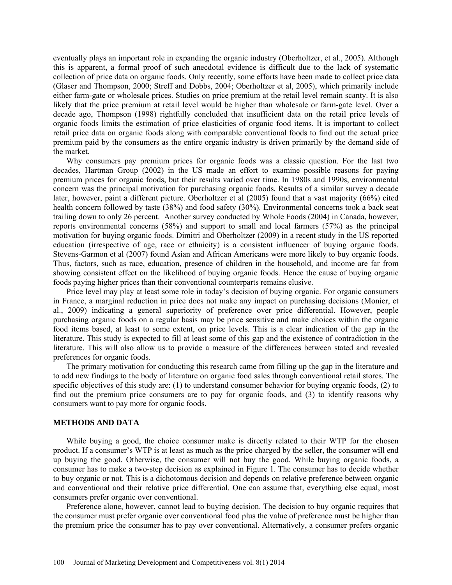eventually plays an important role in expanding the organic industry (Oberholtzer, et al., 2005). Although this is apparent, a formal proof of such anecdotal evidence is difficult due to the lack of systematic collection of price data on organic foods. Only recently, some efforts have been made to collect price data (Glaser and Thompson, 2000; Streff and Dobbs, 2004; Oberholtzer et al, 2005), which primarily include either farm-gate or wholesale prices. Studies on price premium at the retail level remain scanty. It is also likely that the price premium at retail level would be higher than wholesale or farm-gate level. Over a decade ago, Thompson (1998) rightfully concluded that insufficient data on the retail price levels of organic foods limits the estimation of price elasticities of organic food items. It is important to collect retail price data on organic foods along with comparable conventional foods to find out the actual price premium paid by the consumers as the entire organic industry is driven primarily by the demand side of the market.

Why consumers pay premium prices for organic foods was a classic question. For the last two decades, Hartman Group (2002) in the US made an effort to examine possible reasons for paying premium prices for organic foods, but their results varied over time. In 1980s and 1990s, environmental concern was the principal motivation for purchasing organic foods. Results of a similar survey a decade later, however, paint a different picture. Oberholtzer et al (2005) found that a vast majority (66%) cited health concern followed by taste (38%) and food safety (30%). Environmental concerns took a back seat trailing down to only 26 percent. Another survey conducted by Whole Foods (2004) in Canada, however, reports environmental concerns (58%) and support to small and local farmers (57%) as the principal motivation for buying organic foods. Dimitri and Oberholtzer (2009) in a recent study in the US reported education (irrespective of age, race or ethnicity) is a consistent influencer of buying organic foods. Stevens-Garmon et al (2007) found Asian and African Americans were more likely to buy organic foods. Thus, factors, such as race, education, presence of children in the household, and income are far from showing consistent effect on the likelihood of buying organic foods. Hence the cause of buying organic foods paying higher prices than their conventional counterparts remains elusive.

Price level may play at least some role in today's decision of buying organic. For organic consumers in France, a marginal reduction in price does not make any impact on purchasing decisions (Monier, et al., 2009) indicating a general superiority of preference over price differential. However, people purchasing organic foods on a regular basis may be price sensitive and make choices within the organic food items based, at least to some extent, on price levels. This is a clear indication of the gap in the literature. This study is expected to fill at least some of this gap and the existence of contradiction in the literature. This will also allow us to provide a measure of the differences between stated and revealed preferences for organic foods.

The primary motivation for conducting this research came from filling up the gap in the literature and to add new findings to the body of literature on organic food sales through conventional retail stores. The specific objectives of this study are: (1) to understand consumer behavior for buying organic foods, (2) to find out the premium price consumers are to pay for organic foods, and (3) to identify reasons why consumers want to pay more for organic foods.

### **METHODS AND DATA**

While buying a good, the choice consumer make is directly related to their WTP for the chosen product. If a consumer's WTP is at least as much as the price charged by the seller, the consumer will end up buying the good. Otherwise, the consumer will not buy the good. While buying organic foods, a consumer has to make a two-step decision as explained in Figure 1. The consumer has to decide whether to buy organic or not. This is a dichotomous decision and depends on relative preference between organic and conventional and their relative price differential. One can assume that, everything else equal, most consumers prefer organic over conventional.

Preference alone, however, cannot lead to buying decision. The decision to buy organic requires that the consumer must prefer organic over conventional food plus the value of preference must be higher than the premium price the consumer has to pay over conventional. Alternatively, a consumer prefers organic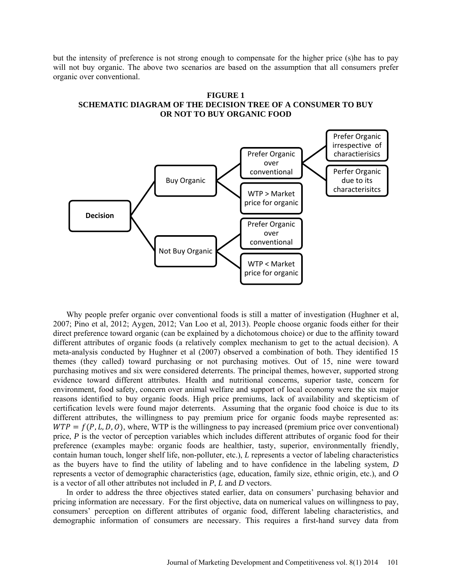but the intensity of preference is not strong enough to compensate for the higher price (s)he has to pay will not buy organic. The above two scenarios are based on the assumption that all consumers prefer organic over conventional.





Why people prefer organic over conventional foods is still a matter of investigation (Hughner et al, 2007; Pino et al, 2012; Aygen, 2012; Van Loo et al, 2013). People choose organic foods either for their direct preference toward organic (can be explained by a dichotomous choice) or due to the affinity toward different attributes of organic foods (a relatively complex mechanism to get to the actual decision). A meta-analysis conducted by Hughner et al (2007) observed a combination of both. They identified 15 themes (they called) toward purchasing or not purchasing motives. Out of 15, nine were toward purchasing motives and six were considered deterrents. The principal themes, however, supported strong evidence toward different attributes. Health and nutritional concerns, superior taste, concern for environment, food safety, concern over animal welfare and support of local economy were the six major reasons identified to buy organic foods. High price premiums, lack of availability and skepticism of certification levels were found major deterrents. Assuming that the organic food choice is due to its different attributes, the willingness to pay premium price for organic foods maybe represented as:  $WTP = f(P, L, D, O)$ , where, WTP is the willingness to pay increased (premium price over conventional) price, *P* is the vector of perception variables which includes different attributes of organic food for their preference (examples maybe: organic foods are healthier, tasty, superior, environmentally friendly, contain human touch, longer shelf life, non-polluter, etc.), *L* represents a vector of labeling characteristics as the buyers have to find the utility of labeling and to have confidence in the labeling system, *D* represents a vector of demographic characteristics (age, education, family size, ethnic origin, etc.), and *O* is a vector of all other attributes not included in *P*, *L* and *D* vectors.

In order to address the three objectives stated earlier, data on consumers' purchasing behavior and pricing information are necessary. For the first objective, data on numerical values on willingness to pay, consumers' perception on different attributes of organic food, different labeling characteristics, and demographic information of consumers are necessary. This requires a first-hand survey data from

Journal of Marketing Development and Competitiveness vol. 8(1) 2014 101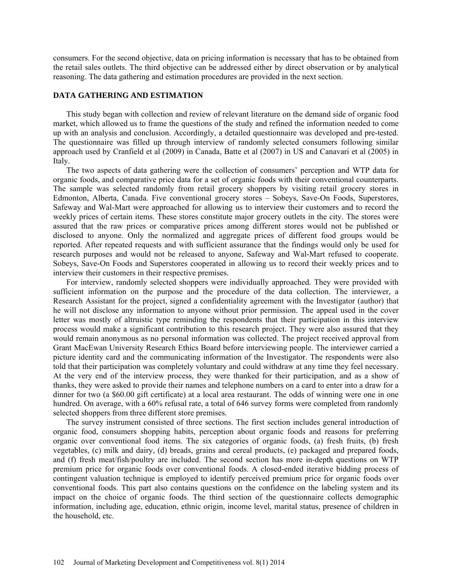consumers. For the second objective, data on pricing information is necessary that has to be obtained from the retail sales outlets. The third objective can be addressed either by direct observation or by analytical reasoning. The data gathering and estimation procedures are provided in the next section.

### **DATA GATHERING AND ESTIMATION**

This study began with collection and review of relevant literature on the demand side of organic food market, which allowed us to frame the questions of the study and refined the information needed to come up with an analysis and conclusion. Accordingly, a detailed questionnaire was developed and pre-tested. The questionnaire was filled up through interview of randomly selected consumers following similar approach used by Cranfield et al (2009) in Canada, Batte et al (2007) in US and Canavari et al (2005) in Italy.

The two aspects of data gathering were the collection of consumers' perception and WTP data for organic foods, and comparative price data for a set of organic foods with their conventional counterparts. The sample was selected randomly from retail grocery shoppers by visiting retail grocery stores in Edmonton, Alberta, Canada. Five conventional grocery stores – Sobeys, Save-On Foods, Superstores, Safeway and Wal-Mart were approached for allowing us to interview their customers and to record the weekly prices of certain items. These stores constitute major grocery outlets in the city. The stores were assured that the raw prices or comparative prices among different stores would not be published or disclosed to anyone. Only the normalized and aggregate prices of different food groups would be reported. After repeated requests and with sufficient assurance that the findings would only be used for research purposes and would not be released to anyone, Safeway and Wal-Mart refused to cooperate. Sobeys, Save-On Foods and Superstores cooperated in allowing us to record their weekly prices and to interview their customers in their respective premises.

For interview, randomly selected shoppers were individually approached. They were provided with sufficient information on the purpose and the procedure of the data collection. The interviewer, a Research Assistant for the project, signed a confidentiality agreement with the Investigator (author) that he will not disclose any information to anyone without prior permission. The appeal used in the cover letter was mostly of altruistic type reminding the respondents that their participation in this interview process would make a significant contribution to this research project. They were also assured that they would remain anonymous as no personal information was collected. The project received approval from Grant MacEwan University Research Ethics Board before interviewing people. The interviewer carried a picture identity card and the communicating information of the Investigator. The respondents were also told that their participation was completely voluntary and could withdraw at any time they feel necessary. At the very end of the interview process, they were thanked for their participation, and as a show of thanks, they were asked to provide their names and telephone numbers on a card to enter into a draw for a dinner for two (a \$60.00 gift certificate) at a local area restaurant. The odds of winning were one in one hundred. On average, with a 60% refusal rate, a total of 646 survey forms were completed from randomly selected shoppers from three different store premises.

The survey instrument consisted of three sections. The first section includes general introduction of organic food, consumers shopping habits, perception about organic foods and reasons for preferring organic over conventional food items. The six categories of organic foods, (a) fresh fruits, (b) fresh vegetables, (c) milk and dairy, (d) breads, grains and cereal products, (e) packaged and prepared foods, and (f) fresh meat/fish/poultry are included. The second section has more in-depth questions on WTP premium price for organic foods over conventional foods. A closed-ended iterative bidding process of contingent valuation technique is employed to identify perceived premium price for organic foods over conventional foods. This part also contains questions on the confidence on the labeling system and its impact on the choice of organic foods. The third section of the questionnaire collects demographic information, including age, education, ethnic origin, income level, marital status, presence of children in the household, etc.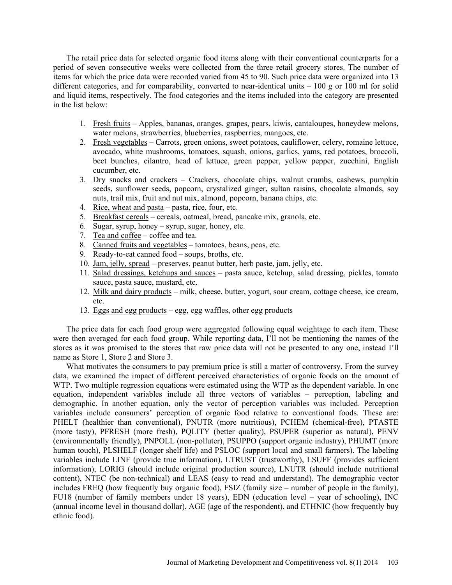The retail price data for selected organic food items along with their conventional counterparts for a period of seven consecutive weeks were collected from the three retail grocery stores. The number of items for which the price data were recorded varied from 45 to 90. Such price data were organized into 13 different categories, and for comparability, converted to near-identical units  $-100$  g or 100 ml for solid and liquid items, respectively. The food categories and the items included into the category are presented in the list below:

- 1. Fresh fruits Apples, bananas, oranges, grapes, pears, kiwis, cantaloupes, honeydew melons, water melons, strawberries, blueberries, raspberries, mangoes, etc.
- 2. Fresh vegetables Carrots, green onions, sweet potatoes, cauliflower, celery, romaine lettuce, avocado, white mushrooms, tomatoes, squash, onions, garlics, yams, red potatoes, broccoli, beet bunches, cilantro, head of lettuce, green pepper, yellow pepper, zucchini, English cucumber, etc.
- 3. Dry snacks and crackers Crackers, chocolate chips, walnut crumbs, cashews, pumpkin seeds, sunflower seeds, popcorn, crystalized ginger, sultan raisins, chocolate almonds, soy nuts, trail mix, fruit and nut mix, almond, popcorn, banana chips, etc.
- 4. Rice, wheat and pasta pasta, rice, four, etc.
- 5. Breakfast cereals cereals, oatmeal, bread, pancake mix, granola, etc.
- 6. Sugar, syrup, honey syrup, sugar, honey, etc.
- 7. Tea and coffee coffee and tea.
- 8. Canned fruits and vegetables tomatoes, beans, peas, etc.
- 9. Ready-to-eat canned food soups, broths, etc.
- 10. Jam, jelly, spread preserves, peanut butter, herb paste, jam, jelly, etc.
- 11. Salad dressings, ketchups and sauces pasta sauce, ketchup, salad dressing, pickles, tomato sauce, pasta sauce, mustard, etc.
- 12. Milk and dairy products milk, cheese, butter, yogurt, sour cream, cottage cheese, ice cream, etc.
- 13. Eggs and egg products egg, egg waffles, other egg products

The price data for each food group were aggregated following equal weightage to each item. These were then averaged for each food group. While reporting data, I'll not be mentioning the names of the stores as it was promised to the stores that raw price data will not be presented to any one, instead I'll name as Store 1, Store 2 and Store 3.

What motivates the consumers to pay premium price is still a matter of controversy. From the survey data, we examined the impact of different perceived characteristics of organic foods on the amount of WTP. Two multiple regression equations were estimated using the WTP as the dependent variable. In one equation, independent variables include all three vectors of variables – perception, labeling and demographic. In another equation, only the vector of perception variables was included. Perception variables include consumers' perception of organic food relative to conventional foods. These are: PHELT (healthier than conventional), PNUTR (more nutritious), PCHEM (chemical-free), PTASTE (more tasty), PFRESH (more fresh), PQLITY (better quality), PSUPER (superior as natural), PENV (environmentally friendly), PNPOLL (non-polluter), PSUPPO (support organic industry), PHUMT (more human touch), PLSHELF (longer shelf life) and PSLOC (support local and small farmers). The labeling variables include LINF (provide true information), LTRUST (trustworthy), LSUFF (provides sufficient information), LORIG (should include original production source), LNUTR (should include nutritional content), NTEC (be non-technical) and LEAS (easy to read and understand). The demographic vector includes FREQ (how frequently buy organic food), FSIZ (family size – number of people in the family), FU18 (number of family members under 18 years), EDN (education level – year of schooling), INC (annual income level in thousand dollar), AGE (age of the respondent), and ETHNIC (how frequently buy ethnic food).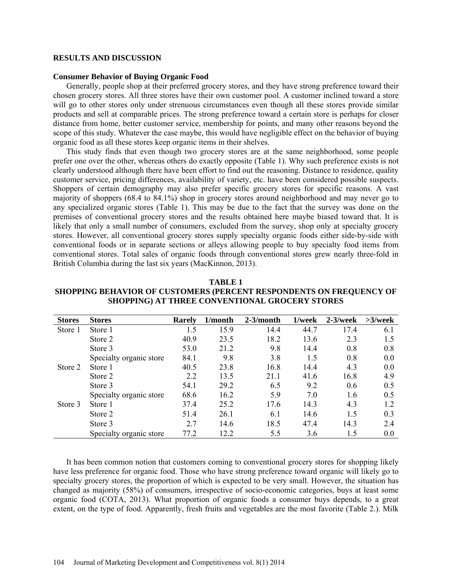#### **RESULTS AND DISCUSSION**

#### **Consumer Behavior of Buying Organic Food**

Generally, people shop at their preferred grocery stores, and they have strong preference toward their chosen grocery stores. All three stores have their own customer pool. A customer inclined toward a store will go to other stores only under strenuous circumstances even though all these stores provide similar products and sell at comparable prices. The strong preference toward a certain store is perhaps for closer distance from home, better customer service, membership for points, and many other reasons beyond the scope of this study. Whatever the case maybe, this would have negligible effect on the behavior of buying organic food as all these stores keep organic items in their shelves.

This study finds that even though two grocery stores are at the same neighborhood, some people prefer one over the other, whereas others do exactly opposite (Table 1). Why such preference exists is not clearly understood although there have been effort to find out the reasoning. Distance to residence, quality customer service, pricing differences, availability of variety, etc. have been considered possible suspects. Shoppers of certain demography may also prefer specific grocery stores for specific reasons. A vast majority of shoppers (68.4 to 84.1%) shop in grocery stores around neighborhood and may never go to any specialized organic stores (Table 1). This may be due to the fact that the survey was done on the premises of conventional grocery stores and the results obtained here maybe biased toward that. It is likely that only a small number of consumers, excluded from the survey, shop only at specialty grocery stores. However, all conventional grocery stores supply specialty organic foods either side-by-side with conventional foods or in separate sections or alleys allowing people to buy specialty food items from conventional stores. Total sales of organic foods through conventional stores grew nearly three-fold in British Columbia during the last six years (MacKinnon, 2013).

| TARLE <sub>1</sub>                                                         |
|----------------------------------------------------------------------------|
| <b>SHOPPING BEHAVIOR OF CUSTOMERS (PERCENT RESPONDENTS ON FREQUENCY OF</b> |
| <b>SHOPPING) AT THREE CONVENTIONAL GROCERY STORES</b>                      |

| <b>Stores</b> | <b>Stores</b>           | <b>Rarely</b> | 1/month | $2-3/month$ | 1/week | $2-3$ /week | $>3$ /week |
|---------------|-------------------------|---------------|---------|-------------|--------|-------------|------------|
| Store 1       | Store 1                 | 1.5           | 15.9    | 14.4        | 44.7   | 17.4        | 6.1        |
|               | Store 2                 | 40.9          | 23.5    | 18.2        | 13.6   | 2.3         | 1.5        |
|               | Store 3                 | 53.0          | 21.2    | 9.8         | 14.4   | 0.8         | 0.8        |
|               | Specialty organic store | 84.1          | 9.8     | 3.8         | 1.5    | 0.8         | 0.0        |
| Store 2       | Store 1                 | 40.5          | 23.8    | 16.8        | 14.4   | 4.3         | 0.0        |
|               | Store 2                 | 2.2           | 13.5    | 21.1        | 41.6   | 16.8        | 4.9        |
|               | Store 3                 | 54.1          | 29.2    | 6.5         | 9.2    | 0.6         | 0.5        |
|               | Specialty organic store | 68.6          | 16.2    | 5.9         | 7 O    | 1.6         | 0.5        |
| Store 3       | Store 1                 | 37.4          | 25.2    | 17.6        | 14.3   | 4.3         | 1.2        |
|               | Store 2                 | 51.4          | 26.1    | 6.1         | 14.6   | 1.5         | 0.3        |
|               | Store 3                 | 2.7           | 14.6    | 18.5        | 47.4   | 14.3        | 2.4        |
|               | Specialty organic store | 77.2          | 12.2    | 5.5         | 3.6    | 1.5         | 0.0        |

It has been common notion that customers coming to conventional grocery stores for shopping likely have less preference for organic food. Those who have strong preference toward organic will likely go to specialty grocery stores, the proportion of which is expected to be very small. However, the situation has changed as majority (58%) of consumers, irrespective of socio-economic categories, buys at least some organic food (COTA, 2013). What proportion of organic foods a consumer buys depends, to a great extent, on the type of food. Apparently, fresh fruits and vegetables are the most favorite (Table 2.). Milk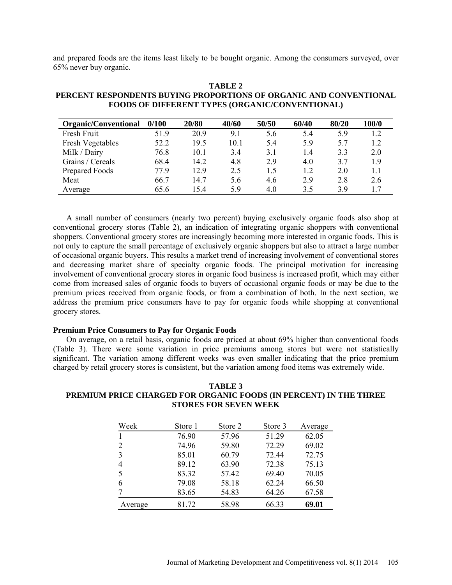and prepared foods are the items least likely to be bought organic. Among the consumers surveyed, over 65% never buy organic.

| TABLE 2                                                            |
|--------------------------------------------------------------------|
| PERCENT RESPONDENTS BUYING PROPORTIONS OF ORGANIC AND CONVENTIONAL |
| <b>FOODS OF DIFFERENT TYPES (ORGANIC/CONVENTIONAL)</b>             |

| <b>Organic/Conventional</b> | 0/100 | 20/80 | 40/60 | 50/50 | 60/40 | 80/20 | 100/0 |
|-----------------------------|-------|-------|-------|-------|-------|-------|-------|
| Fresh Fruit                 | 51.9  | 20.9  | 9.1   | 5.6   | 5.4   | 5.9   | 1.2   |
| <b>Fresh Vegetables</b>     | 52.2  | 19.5  | 10.1  | 5.4   | 5.9   | 5.7   | 1.2   |
| Milk / Dairy                | 76.8  | 10.1  | 3.4   | 3.1   | 1.4   | 3.3   | 2.0   |
| Grains / Cereals            | 68.4  | 14.2  | 4.8   | 2.9   | 4.0   | 37    | 19    |
| Prepared Foods              | 779   | 129   | 2.5   | 1.5   | 1.2   | 2.0   |       |
| Meat                        | 66.7  | 14.7  | 5.6   | 4.6   | 2.9   | 2.8   | 2.6   |
| Average                     | 65.6  | 15.4  | 59    | 4.0   | 3.5   | 39    |       |

A small number of consumers (nearly two percent) buying exclusively organic foods also shop at conventional grocery stores (Table 2), an indication of integrating organic shoppers with conventional shoppers. Conventional grocery stores are increasingly becoming more interested in organic foods. This is not only to capture the small percentage of exclusively organic shoppers but also to attract a large number of occasional organic buyers. This results a market trend of increasing involvement of conventional stores and decreasing market share of specialty organic foods. The principal motivation for increasing involvement of conventional grocery stores in organic food business is increased profit, which may either come from increased sales of organic foods to buyers of occasional organic foods or may be due to the premium prices received from organic foods, or from a combination of both. In the next section, we address the premium price consumers have to pay for organic foods while shopping at conventional grocery stores.

### **Premium Price Consumers to Pay for Organic Foods**

On average, on a retail basis, organic foods are priced at about 69% higher than conventional foods (Table 3). There were some variation in price premiums among stores but were not statistically significant. The variation among different weeks was even smaller indicating that the price premium charged by retail grocery stores is consistent, but the variation among food items was extremely wide.

## **TABLE 3 PREMIUM PRICE CHARGED FOR ORGANIC FOODS (IN PERCENT) IN THE THREE STORES FOR SEVEN WEEK**

| Week    | Store 1 | Store 2 | Store 3 | Average |
|---------|---------|---------|---------|---------|
|         | 76.90   | 57.96   | 51.29   | 62.05   |
| 2       | 74.96   | 59.80   | 72.29   | 69.02   |
| 3       | 85.01   | 60.79   | 72.44   | 72.75   |
| 4       | 89.12   | 63.90   | 72.38   | 75.13   |
| 5       | 83.32   | 57.42   | 69.40   | 70.05   |
| 6       | 79.08   | 58.18   | 62.24   | 66.50   |
|         | 83.65   | 54.83   | 64.26   | 67.58   |
| Average | 81.72   | 58.98   | 66.33   | 69.01   |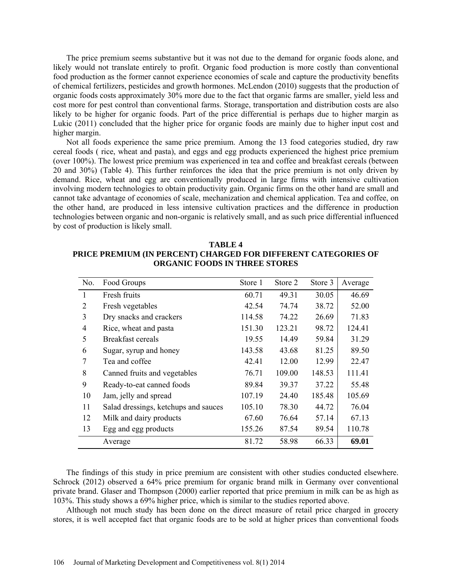The price premium seems substantive but it was not due to the demand for organic foods alone, and likely would not translate entirely to profit. Organic food production is more costly than conventional food production as the former cannot experience economies of scale and capture the productivity benefits of chemical fertilizers, pesticides and growth hormones. McLendon (2010) suggests that the production of organic foods costs approximately 30% more due to the fact that organic farms are smaller, yield less and cost more for pest control than conventional farms. Storage, transportation and distribution costs are also likely to be higher for organic foods. Part of the price differential is perhaps due to higher margin as Lukic (2011) concluded that the higher price for organic foods are mainly due to higher input cost and higher margin.

Not all foods experience the same price premium. Among the 13 food categories studied, dry raw cereal foods ( rice, wheat and pasta), and eggs and egg products experienced the highest price premium (over 100%). The lowest price premium was experienced in tea and coffee and breakfast cereals (between 20 and 30%) (Table 4). This further reinforces the idea that the price premium is not only driven by demand. Rice, wheat and egg are conventionally produced in large firms with intensive cultivation involving modern technologies to obtain productivity gain. Organic firms on the other hand are small and cannot take advantage of economies of scale, mechanization and chemical application. Tea and coffee, on the other hand, are produced in less intensive cultivation practices and the difference in production technologies between organic and non-organic is relatively small, and as such price differential influenced by cost of production is likely small.

| TABLE 4                                                        |
|----------------------------------------------------------------|
| PRICE PREMIUM (IN PERCENT) CHARGED FOR DIFFERENT CATEGORIES OF |
| <b>ORGANIC FOODS IN THREE STORES</b>                           |

| No.            | Food Groups                          | Store 1 | Store 2 | Store 3 | Average |
|----------------|--------------------------------------|---------|---------|---------|---------|
| 1              | Fresh fruits                         | 60.71   | 49.31   | 30.05   | 46.69   |
| $\overline{2}$ | Fresh vegetables                     | 42.54   | 74.74   | 38.72   | 52.00   |
| 3              | Dry snacks and crackers              | 114.58  | 74.22   | 26.69   | 71.83   |
| 4              | Rice, wheat and pasta                | 151.30  | 123.21  | 98.72   | 124.41  |
| 5              | Breakfast cereals                    | 19.55   | 14.49   | 59.84   | 31.29   |
| 6              | Sugar, syrup and honey               | 143.58  | 43.68   | 81.25   | 89.50   |
| 7              | Tea and coffee                       | 42.41   | 12.00   | 12.99   | 22.47   |
| 8              | Canned fruits and vegetables         | 76.71   | 109.00  | 148.53  | 111.41  |
| 9              | Ready-to-eat canned foods            | 89.84   | 39.37   | 37.22   | 55.48   |
| 10             | Jam, jelly and spread                | 107.19  | 24.40   | 185.48  | 105.69  |
| 11             | Salad dressings, ketchups and sauces | 105.10  | 78.30   | 44.72   | 76.04   |
| 12             | Milk and dairy products              | 67.60   | 76.64   | 57.14   | 67.13   |
| 13             | Egg and egg products                 | 155.26  | 87.54   | 89.54   | 110.78  |
|                | Average                              | 81.72   | 58.98   | 66.33   | 69.01   |

The findings of this study in price premium are consistent with other studies conducted elsewhere. Schrock (2012) observed a 64% price premium for organic brand milk in Germany over conventional private brand. Glaser and Thompson (2000) earlier reported that price premium in milk can be as high as 103%. This study shows a 69% higher price, which is similar to the studies reported above.

Although not much study has been done on the direct measure of retail price charged in grocery stores, it is well accepted fact that organic foods are to be sold at higher prices than conventional foods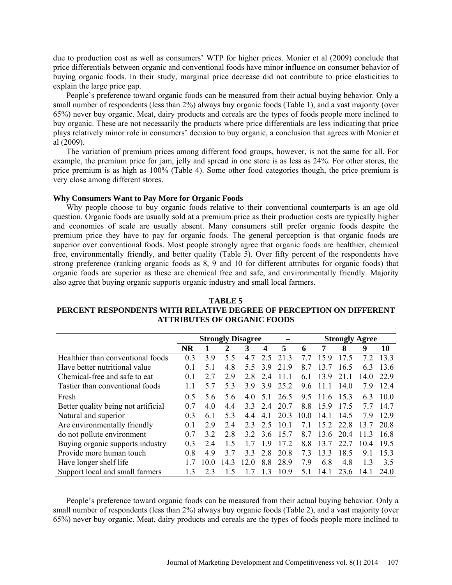due to production cost as well as consumers' WTP for higher prices. Monier et al (2009) conclude that price differentials between organic and conventional foods have minor influence on consumer behavior of buying organic foods. In their study, marginal price decrease did not contribute to price elasticities to explain the large price gap.

People's preference toward organic foods can be measured from their actual buying behavior. Only a small number of respondents (less than 2%) always buy organic foods (Table 1), and a vast majority (over 65%) never buy organic. Meat, dairy products and cereals are the types of foods people more inclined to buy organic. These are not necessarily the products where price differentials are less indicating that price plays relatively minor role in consumers' decision to buy organic, a conclusion that agrees with Monier et al (2009).

The variation of premium prices among different food groups, however, is not the same for all. For example, the premium price for jam, jelly and spread in one store is as less as 24%. For other stores, the price premium is as high as 100% (Table 4). Some other food categories though, the price premium is very close among different stores.

#### **Why Consumers Want to Pay More for Organic Foods**

Why people choose to buy organic foods relative to their conventional counterparts is an age old question. Organic foods are usually sold at a premium price as their production costs are typically higher and economies of scale are usually absent. Many consumers still prefer organic foods despite the premium price they have to pay for organic foods. The general perception is that organic foods are superior over conventional foods. Most people strongly agree that organic foods are healthier, chemical free, environmentally friendly, and better quality (Table 5). Over fifty percent of the respondents have strong preference (ranking organic foods as 8, 9 and 10 for different attributes for organic foods) that organic foods are superior as these are chemical free and safe, and environmentally friendly. Majority also agree that buying organic supports organic industry and small local farmers.

# **TABLE 5 PERCENT RESPONDENTS WITH RELATIVE DEGREE OF PERCEPTION ON DIFFERENT ATTRIBUTES OF ORGANIC FOODS**

|                                     | <b>Strongly Disagree</b> |      |     |     |     | <b>Strongly Agree</b> |      |          |      |      |      |
|-------------------------------------|--------------------------|------|-----|-----|-----|-----------------------|------|----------|------|------|------|
|                                     | <b>NR</b>                |      | 2   | 3   | 4   | 5                     | 6    | 7        | 8    | 9    | 10   |
| Healthier than conventional foods   | 0.3                      | 3.9  | 5.5 | 4.7 | 2.5 | 213                   | 77   | 159      | 17.5 | 72   | 133  |
| Have better nutritional value       | 0 <sub>1</sub>           | 51   | 4.8 | 55  | 39  | 219                   | 87   | 13       | 16.5 | 63   | 13.6 |
| Chemical-free and safe to eat       | 0 <sub>1</sub>           | 27   | 29  | 28  | 24  | 11 1                  | 61   | 139      | 21 1 | 14.0 | 22.9 |
| Tastier than conventional foods     | 11                       | 57   | 53  | 39  | 39  | 25.2                  | 96   | 11 1     | 14 0 | 79   | 12.4 |
| Fresh                               | 0.5                      | 5.6  | 56  | 4.0 | 51  | 26.5                  | 9.5  | 11.6     | 153  | 63   | 10.0 |
| Better quality being not artificial | 0.7                      | 40   | 44  | 33  | 24  | 20.7                  | 8.8  | 159      | 175  | 77   | 14.7 |
| Natural and superior                | 0.3                      | 6.1  | 5.3 | 44  | 41  | 20.3                  | 10.0 | 14 1     | 14.5 | 79   | 129  |
| Are environmentally friendly        | 0 <sup>1</sup>           | 2.9  | 24  | 23  | 2.5 | 10 <sub>1</sub>       | 71   | 15.2     | 22.8 | 13.7 | 20 8 |
| do not pollute environment          | 0.7                      | 32   | 2.8 | 32  | 36  | 157                   | 87   | 13.6     | 204  | 113  | 16.8 |
| Buying organic supports industry    | 0 <sub>3</sub>           | 24   | 1.5 | 17  | 19  | 172                   | 88   | 13<br>-7 | 22.7 | 104  | 19.5 |
| Provide more human touch            | 08                       | 49   | 37  | 33  | 28  | 20.8                  | 73   | 133      | 18.5 | 91   | 153  |
| Have longer shelf life              |                          | 10 0 | 143 | 120 | 8.8 | 28.9                  | 79   | 6.8      | 4.8  | 13   | 3.5  |
| Support local and small farmers     | 13                       | 23   | 1.5 |     | 13  | 10.9                  | 5.1  | 14.1     | 23.6 | 14.1 | 24.0 |

People's preference toward organic foods can be measured from their actual buying behavior. Only a small number of respondents (less than 2%) always buy organic foods (Table 2), and a vast majority (over 65%) never buy organic. Meat, dairy products and cereals are the types of foods people more inclined to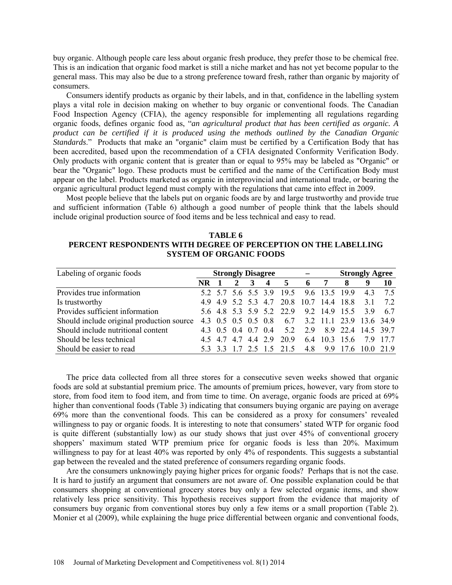buy organic. Although people care less about organic fresh produce, they prefer those to be chemical free. This is an indication that organic food market is still a niche market and has not yet become popular to the general mass. This may also be due to a strong preference toward fresh, rather than organic by majority of consumers.

Consumers identify products as organic by their labels, and in that, confidence in the labelling system plays a vital role in decision making on whether to buy organic or conventional foods. The Canadian Food Inspection Agency (CFIA), the agency responsible for implementing all regulations regarding organic foods, defines organic food as, "*an agricultural product that has been certified as organic. A product can be certified if it is produced using the methods outlined by the Canadian Organic Standards*." Products that make an "organic" claim must be certified by a Certification Body that has been accredited, based upon the recommendation of a CFIA designated Conformity Verification Body. Only products with organic content that is greater than or equal to 95% may be labeled as "Organic" or bear the "Organic" logo. These products must be certified and the name of the Certification Body must appear on the label. Products marketed as organic in interprovincial and international trade, or bearing the organic agricultural product legend must comply with the regulations that came into effect in 2009.

Most people believe that the labels put on organic foods are by and large trustworthy and provide true and sufficient information (Table 6) although a good number of people think that the labels should include original production source of food items and be less technical and easy to read.

| TABLE 6                                                        |
|----------------------------------------------------------------|
| PERCENT RESPONDENTS WITH DEGREE OF PERCEPTION ON THE LABELLING |
| <b>SYSTEM OF ORGANIC FOODS</b>                                 |

| Labeling of organic foods                 | <b>Strongly Disagree</b> |  |                     |   |                         |                                                 |    | <b>Strongly Agree</b> |                             |        |    |
|-------------------------------------------|--------------------------|--|---------------------|---|-------------------------|-------------------------------------------------|----|-----------------------|-----------------------------|--------|----|
|                                           | NR.                      |  | $\overline{2}$      | 3 | $\overline{\mathbf{4}}$ | 5                                               | -6 | 7                     | 8                           |        | 10 |
| Provides true information                 |                          |  |                     |   |                         | 5.2 5.7 5.6 5.5 3.9 19.5 9.6 13.5 19.9          |    |                       |                             | 43     | 75 |
| Is trustworthy                            |                          |  |                     |   |                         | 4.9 4.9 5.2 5.3 4.7 20.8 10.7 14.4 18.8 3.1 7.2 |    |                       |                             |        |    |
| Provides sufficient information           |                          |  |                     |   |                         | 5.6 4.8 5.3 5.9 5.2 22.9 9.2 14.9 15.5          |    |                       |                             | 39 67  |    |
| Should include original production source |                          |  |                     |   | 4.3 0.5 0.5 0.5 0.8     |                                                 |    |                       | 6.7 3.2 11.1 23.9 13.6 34.9 |        |    |
| Should include nutritional content        |                          |  | 4.3 0.5 0.4 0.7 0.4 |   |                         | 5.2                                             |    |                       | 2.9 8.9 22.4 14.5 39.7      |        |    |
| Should be less technical                  |                          |  |                     |   |                         | 4.5 4.7 4.7 4.4 2.9 20.9                        |    |                       | 6.4 10.3 15.6               | 79 177 |    |
| Should be easier to read                  |                          |  |                     |   |                         | 5.3 3.3 1.7 2.5 1.5 21.5                        |    |                       | 4.8 9.9 17.6 10.0 21.9      |        |    |

The price data collected from all three stores for a consecutive seven weeks showed that organic foods are sold at substantial premium price. The amounts of premium prices, however, vary from store to store, from food item to food item, and from time to time. On average, organic foods are priced at 69% higher than conventional foods (Table 3) indicating that consumers buying organic are paying on average 69% more than the conventional foods. This can be considered as a proxy for consumers' revealed willingness to pay or organic foods. It is interesting to note that consumers' stated WTP for organic food is quite different (substantially low) as our study shows that just over 45% of conventional grocery shoppers' maximum stated WTP premium price for organic foods is less than 20%. Maximum willingness to pay for at least 40% was reported by only 4% of respondents. This suggests a substantial gap between the revealed and the stated preference of consumers regarding organic foods.

Are the consumers unknowingly paying higher prices for organic foods? Perhaps that is not the case. It is hard to justify an argument that consumers are not aware of. One possible explanation could be that consumers shopping at conventional grocery stores buy only a few selected organic items, and show relatively less price sensitivity. This hypothesis receives support from the evidence that majority of consumers buy organic from conventional stores buy only a few items or a small proportion (Table 2). Monier et al (2009), while explaining the huge price differential between organic and conventional foods,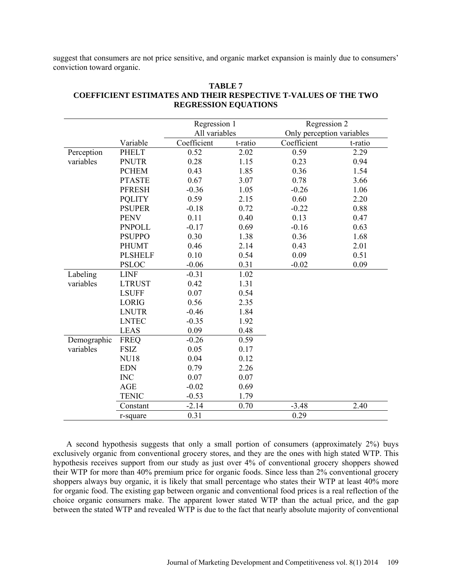suggest that consumers are not price sensitive, and organic market expansion is mainly due to consumers' conviction toward organic.

|             |                | Regression 1  |         | Regression 2              |         |
|-------------|----------------|---------------|---------|---------------------------|---------|
|             |                | All variables |         | Only perception variables |         |
|             | Variable       | Coefficient   | t-ratio | Coefficient               | t-ratio |
| Perception  | <b>PHELT</b>   | 0.52          | 2.02    | 0.59                      | 2.29    |
| variables   | <b>PNUTR</b>   | 0.28          | 1.15    | 0.23                      | 0.94    |
|             | <b>PCHEM</b>   | 0.43          | 1.85    | 0.36                      | 1.54    |
|             | <b>PTASTE</b>  | 0.67          | 3.07    | 0.78                      | 3.66    |
|             | <b>PFRESH</b>  | $-0.36$       | 1.05    | $-0.26$                   | 1.06    |
|             | <b>PQLITY</b>  | 0.59          | 2.15    | 0.60                      | 2.20    |
|             | <b>PSUPER</b>  | $-0.18$       | 0.72    | $-0.22$                   | 0.88    |
|             | <b>PENV</b>    | 0.11          | 0.40    | 0.13                      | 0.47    |
|             | <b>PNPOLL</b>  | $-0.17$       | 0.69    | $-0.16$                   | 0.63    |
|             | <b>PSUPPO</b>  | 0.30          | 1.38    | 0.36                      | 1.68    |
|             | <b>PHUMT</b>   | 0.46          | 2.14    | 0.43                      | 2.01    |
|             | <b>PLSHELF</b> | 0.10          | 0.54    | 0.09                      | 0.51    |
|             | <b>PSLOC</b>   | $-0.06$       | 0.31    | $-0.02$                   | 0.09    |
| Labeling    | <b>LINF</b>    | $-0.31$       | 1.02    |                           |         |
| variables   | <b>LTRUST</b>  | 0.42          | 1.31    |                           |         |
|             | <b>LSUFF</b>   | 0.07          | 0.54    |                           |         |
|             | <b>LORIG</b>   | 0.56          | 2.35    |                           |         |
|             | <b>LNUTR</b>   | $-0.46$       | 1.84    |                           |         |
|             | <b>LNTEC</b>   | $-0.35$       | 1.92    |                           |         |
|             | <b>LEAS</b>    | 0.09          | 0.48    |                           |         |
| Demographic | <b>FREQ</b>    | $-0.26$       | 0.59    |                           |         |
| variables   | <b>FSIZ</b>    | 0.05          | 0.17    |                           |         |
|             | <b>NU18</b>    | 0.04          | 0.12    |                           |         |
|             | <b>EDN</b>     | 0.79          | 2.26    |                           |         |
|             | <b>INC</b>     | 0.07          | 0.07    |                           |         |
|             | <b>AGE</b>     | $-0.02$       | 0.69    |                           |         |
|             | <b>TENIC</b>   | $-0.53$       | 1.79    |                           |         |
|             | Constant       | $-2.14$       | 0.70    | $-3.48$                   | 2.40    |
|             | r-square       | 0.31          |         | 0.29                      |         |

# **TABLE 7 COEFFICIENT ESTIMATES AND THEIR RESPECTIVE T-VALUES OF THE TWO REGRESSION EQUATIONS**

A second hypothesis suggests that only a small portion of consumers (approximately 2%) buys exclusively organic from conventional grocery stores, and they are the ones with high stated WTP. This hypothesis receives support from our study as just over 4% of conventional grocery shoppers showed their WTP for more than 40% premium price for organic foods. Since less than 2% conventional grocery shoppers always buy organic, it is likely that small percentage who states their WTP at least 40% more for organic food. The existing gap between organic and conventional food prices is a real reflection of the choice organic consumers make. The apparent lower stated WTP than the actual price, and the gap between the stated WTP and revealed WTP is due to the fact that nearly absolute majority of conventional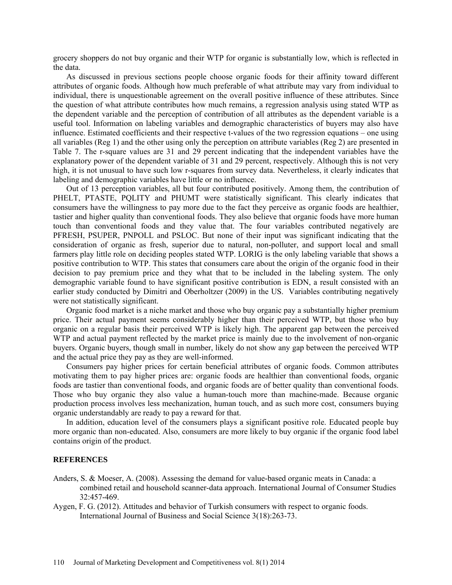grocery shoppers do not buy organic and their WTP for organic is substantially low, which is reflected in the data.

As discussed in previous sections people choose organic foods for their affinity toward different attributes of organic foods. Although how much preferable of what attribute may vary from individual to individual, there is unquestionable agreement on the overall positive influence of these attributes. Since the question of what attribute contributes how much remains, a regression analysis using stated WTP as the dependent variable and the perception of contribution of all attributes as the dependent variable is a useful tool. Information on labeling variables and demographic characteristics of buyers may also have influence. Estimated coefficients and their respective t-values of the two regression equations – one using all variables (Reg 1) and the other using only the perception on attribute variables (Reg 2) are presented in Table 7. The r-square values are 31 and 29 percent indicating that the independent variables have the explanatory power of the dependent variable of 31 and 29 percent, respectively. Although this is not very high, it is not unusual to have such low r-squares from survey data. Nevertheless, it clearly indicates that labeling and demographic variables have little or no influence.

Out of 13 perception variables, all but four contributed positively. Among them, the contribution of PHELT, PTASTE, PQLITY and PHUMT were statistically significant. This clearly indicates that consumers have the willingness to pay more due to the fact they perceive as organic foods are healthier, tastier and higher quality than conventional foods. They also believe that organic foods have more human touch than conventional foods and they value that. The four variables contributed negatively are PFRESH, PSUPER, PNPOLL and PSLOC. But none of their input was significant indicating that the consideration of organic as fresh, superior due to natural, non-polluter, and support local and small farmers play little role on deciding peoples stated WTP. LORIG is the only labeling variable that shows a positive contribution to WTP. This states that consumers care about the origin of the organic food in their decision to pay premium price and they what that to be included in the labeling system. The only demographic variable found to have significant positive contribution is EDN, a result consisted with an earlier study conducted by Dimitri and Oberholtzer (2009) in the US. Variables contributing negatively were not statistically significant.

Organic food market is a niche market and those who buy organic pay a substantially higher premium price. Their actual payment seems considerably higher than their perceived WTP, but those who buy organic on a regular basis their perceived WTP is likely high. The apparent gap between the perceived WTP and actual payment reflected by the market price is mainly due to the involvement of non-organic buyers. Organic buyers, though small in number, likely do not show any gap between the perceived WTP and the actual price they pay as they are well-informed.

Consumers pay higher prices for certain beneficial attributes of organic foods. Common attributes motivating them to pay higher prices are: organic foods are healthier than conventional foods, organic foods are tastier than conventional foods, and organic foods are of better quality than conventional foods. Those who buy organic they also value a human-touch more than machine-made. Because organic production process involves less mechanization, human touch, and as such more cost, consumers buying organic understandably are ready to pay a reward for that.

In addition, education level of the consumers plays a significant positive role. Educated people buy more organic than non-educated. Also, consumers are more likely to buy organic if the organic food label contains origin of the product.

#### **REFERENCES**

- Anders, S. & Moeser, A. (2008). Assessing the demand for value-based organic meats in Canada: a combined retail and household scanner-data approach. International Journal of Consumer Studies 32:457-469.
- Aygen, F. G. (2012). Attitudes and behavior of Turkish consumers with respect to organic foods. International Journal of Business and Social Science 3(18):263-73.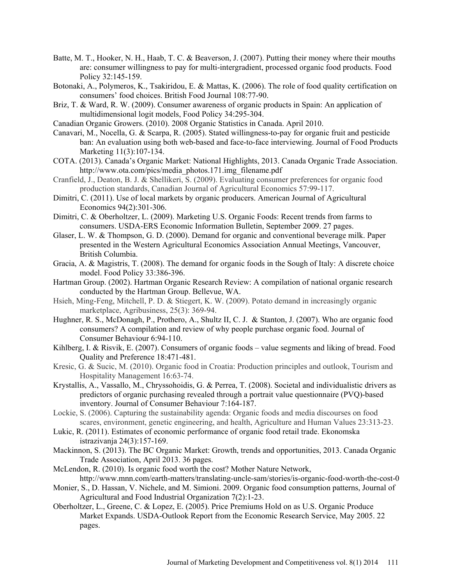- Batte, M. T., Hooker, N. H., Haab, T. C. & Beaverson, J. (2007). Putting their money where their mouths are: consumer willingness to pay for multi-intergradient, processed organic food products. Food Policy 32:145-159.
- Botonaki, A., Polymeros, K., Tsakiridou, E. & Mattas, K. (2006). The role of food quality certification on consumers' food choices. British Food Journal 108:77-90.
- Briz, T. & Ward, R. W. (2009). Consumer awareness of organic products in Spain: An application of multidimensional logit models, Food Policy 34:295-304.
- Canadian Organic Growers. (2010). 2008 Organic Statistics in Canada. April 2010.
- Canavari, M., Nocella, G. & Scarpa, R. (2005). Stated willingness-to-pay for organic fruit and pesticide ban: An evaluation using both web-based and face-to-face interviewing. Journal of Food Products Marketing 11(3):107-134.
- COTA. (2013). Canada's Organic Market: National Highlights, 2013. Canada Organic Trade Association. http://www.ota.com/pics/media\_photos.171.img\_filename.pdf
- Cranfield, J., Deaton, B. J. & Shellikeri, S. (2009). Evaluating consumer preferences for organic food production standards, Canadian Journal of Agricultural Economics 57:99-117.
- Dimitri, C. (2011). Use of local markets by organic producers. American Journal of Agricultural Economics 94(2):301-306.
- Dimitri, C. & Oberholtzer, L. (2009). Marketing U.S. Organic Foods: Recent trends from farms to consumers. USDA-ERS Economic Information Bulletin, September 2009. 27 pages.
- Glaser, L. W. & Thompson, G. D. (2000). Demand for organic and conventional beverage milk. Paper presented in the Western Agricultural Economics Association Annual Meetings, Vancouver, British Columbia.
- Gracia, A. & Magistris, T. (2008). The demand for organic foods in the Sough of Italy: A discrete choice model. Food Policy 33:386-396.
- Hartman Group. (2002). Hartman Organic Research Review: A compilation of national organic research conducted by the Hartman Group. Bellevue, WA.
- Hsieh, Ming-Feng, Mitchell, P. D. & Stiegert, K. W. (2009). Potato demand in increasingly organic marketplace, Agribusiness, 25(3): 369-94.
- Hughner, R. S., McDonagh, P., Prothero, A., Shultz II, C. J. & Stanton, J. (2007). Who are organic food consumers? A compilation and review of why people purchase organic food. Journal of Consumer Behaviour 6:94-110.
- Kihlberg, I. & Risvik, E. (2007). Consumers of organic foods value segments and liking of bread. Food Quality and Preference 18:471-481.
- Kresic, G. & Sucic, M. (2010). Organic food in Croatia: Production principles and outlook, Tourism and Hospitality Management 16:63-74.
- Krystallis, A., Vassallo, M., Chryssohoidis, G. & Perrea, T. (2008). Societal and individualistic drivers as predictors of organic purchasing revealed through a portrait value questionnaire (PVQ)-based inventory. Journal of Consumer Behaviour 7:164-187.
- Lockie, S. (2006). Capturing the sustainability agenda: Organic foods and media discourses on food scares, environment, genetic engineering, and health, Agriculture and Human Values 23:313-23.
- Lukic, R. (2011). Estimates of economic performance of organic food retail trade. Ekonomska istrazivanja 24(3):157-169.
- Mackinnon, S. (2013). The BC Organic Market: Growth, trends and opportunities, 2013. Canada Organic Trade Association, April 2013. 36 pages.
- McLendon, R. (2010). Is organic food worth the cost? Mother Nature Network, http://www.mnn.com/earth-matters/translating-uncle-sam/stories/is-organic-food-worth-the-cost-0
- Monier, S., D. Hassan, V. Nichele, and M. Simioni. 2009. Organic food consumption patterns, Journal of Agricultural and Food Industrial Organization 7(2):1-23.
- Oberholtzer, L., Greene, C. & Lopez, E. (2005). Price Premiums Hold on as U.S. Organic Produce Market Expands. USDA-Outlook Report from the Economic Research Service, May 2005. 22 pages.